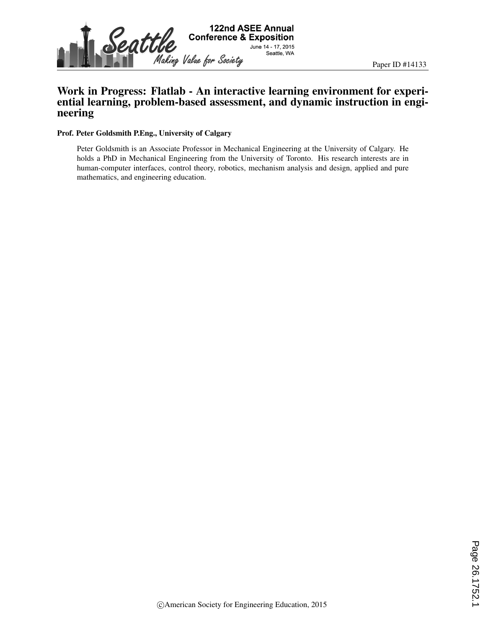

# Work in Progress: Flatlab - An interactive learning environment for experiential learning, problem-based assessment, and dynamic instruction in engineering

#### Prof. Peter Goldsmith P.Eng., University of Calgary

Peter Goldsmith is an Associate Professor in Mechanical Engineering at the University of Calgary. He holds a PhD in Mechanical Engineering from the University of Toronto. His research interests are in human-computer interfaces, control theory, robotics, mechanism analysis and design, applied and pure mathematics, and engineering education.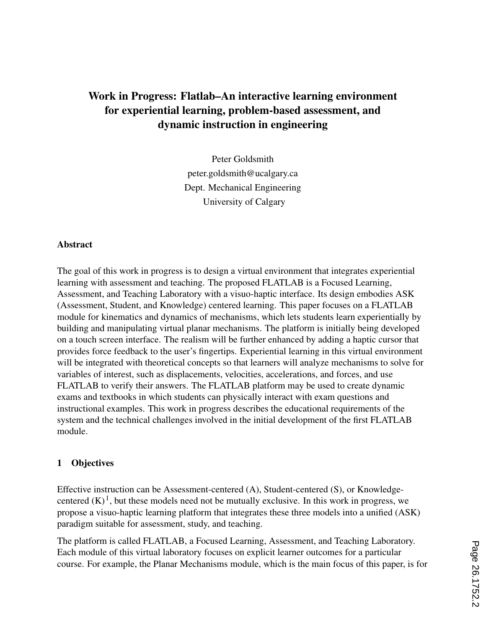# Work in Progress: Flatlab–An interactive learning environment for experiential learning, problem-based assessment, and dynamic instruction in engineering

Peter Goldsmith peter.goldsmith@ucalgary.ca Dept. Mechanical Engineering University of Calgary

#### Abstract

The goal of this work in progress is to design a virtual environment that integrates experiential learning with assessment and teaching. The proposed FLATLAB is a Focused Learning, Assessment, and Teaching Laboratory with a visuo-haptic interface. Its design embodies ASK (Assessment, Student, and Knowledge) centered learning. This paper focuses on a FLATLAB module for kinematics and dynamics of mechanisms, which lets students learn experientially by building and manipulating virtual planar mechanisms. The platform is initially being developed on a touch screen interface. The realism will be further enhanced by adding a haptic cursor that provides force feedback to the user's fingertips. Experiential learning in this virtual environment will be integrated with theoretical concepts so that learners will analyze mechanisms to solve for variables of interest, such as displacements, velocities, accelerations, and forces, and use FLATLAB to verify their answers. The FLATLAB platform may be used to create dynamic exams and textbooks in which students can physically interact with exam questions and instructional examples. This work in progress describes the educational requirements of the system and the technical challenges involved in the initial development of the first FLATLAB module.

#### 1 Objectives

Effective instruction can be Assessment-centered (A), Student-centered (S), or Knowledgecentered  $(K)^1$ , but these models need not be mutually exclusive. In this work in progress, we propose a visuo-haptic learning platform that integrates these three models into a unified (ASK) paradigm suitable for assessment, study, and teaching.

The platform is called FLATLAB, a Focused Learning, Assessment, and Teaching Laboratory. Each module of this virtual laboratory focuses on explicit learner outcomes for a particular course. For example, the Planar Mechanisms module, which is the main focus of this paper, is for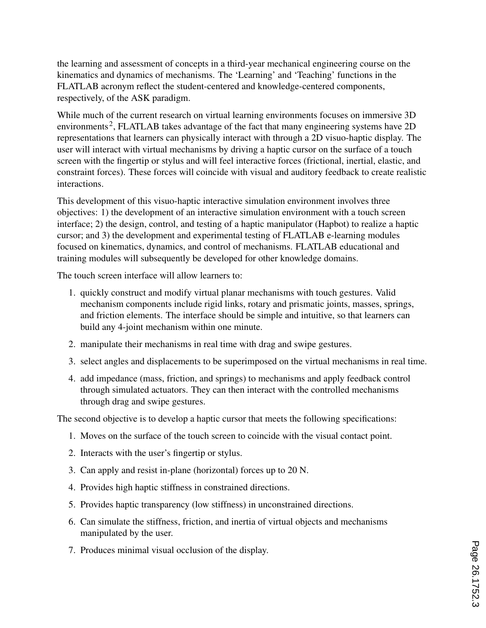the learning and assessment of concepts in a third-year mechanical engineering course on the kinematics and dynamics of mechanisms. The 'Learning' and 'Teaching' functions in the FLATLAB acronym reflect the student-centered and knowledge-centered components, respectively, of the ASK paradigm.

While much of the current research on virtual learning environments focuses on immersive 3D environments<sup>2</sup>, FLATLAB takes advantage of the fact that many engineering systems have 2D representations that learners can physically interact with through a 2D visuo-haptic display. The user will interact with virtual mechanisms by driving a haptic cursor on the surface of a touch screen with the fingertip or stylus and will feel interactive forces (frictional, inertial, elastic, and constraint forces). These forces will coincide with visual and auditory feedback to create realistic interactions.

This development of this visuo-haptic interactive simulation environment involves three objectives: 1) the development of an interactive simulation environment with a touch screen interface; 2) the design, control, and testing of a haptic manipulator (Hapbot) to realize a haptic cursor; and 3) the development and experimental testing of FLATLAB e-learning modules focused on kinematics, dynamics, and control of mechanisms. FLATLAB educational and training modules will subsequently be developed for other knowledge domains.

The touch screen interface will allow learners to:

- 1. quickly construct and modify virtual planar mechanisms with touch gestures. Valid mechanism components include rigid links, rotary and prismatic joints, masses, springs, and friction elements. The interface should be simple and intuitive, so that learners can build any 4-joint mechanism within one minute.
- 2. manipulate their mechanisms in real time with drag and swipe gestures.
- 3. select angles and displacements to be superimposed on the virtual mechanisms in real time.
- 4. add impedance (mass, friction, and springs) to mechanisms and apply feedback control through simulated actuators. They can then interact with the controlled mechanisms through drag and swipe gestures.

The second objective is to develop a haptic cursor that meets the following specifications:

- 1. Moves on the surface of the touch screen to coincide with the visual contact point.
- 2. Interacts with the user's fingertip or stylus.
- 3. Can apply and resist in-plane (horizontal) forces up to 20 N.
- 4. Provides high haptic stiffness in constrained directions.
- 5. Provides haptic transparency (low stiffness) in unconstrained directions.
- 6. Can simulate the stiffness, friction, and inertia of virtual objects and mechanisms manipulated by the user.
- 7. Produces minimal visual occlusion of the display.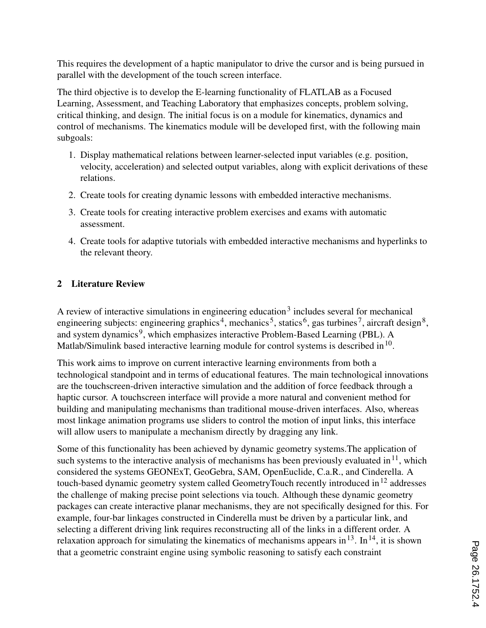This requires the development of a haptic manipulator to drive the cursor and is being pursued in parallel with the development of the touch screen interface.

The third objective is to develop the E-learning functionality of FLATLAB as a Focused Learning, Assessment, and Teaching Laboratory that emphasizes concepts, problem solving, critical thinking, and design. The initial focus is on a module for kinematics, dynamics and control of mechanisms. The kinematics module will be developed first, with the following main subgoals:

- 1. Display mathematical relations between learner-selected input variables (e.g. position, velocity, acceleration) and selected output variables, along with explicit derivations of these relations.
- 2. Create tools for creating dynamic lessons with embedded interactive mechanisms.
- 3. Create tools for creating interactive problem exercises and exams with automatic assessment.
- 4. Create tools for adaptive tutorials with embedded interactive mechanisms and hyperlinks to the relevant theory.

# 2 Literature Review

A review of interactive simulations in engineering education<sup>3</sup> includes several for mechanical engineering subjects: engineering graphics<sup>4</sup>, mechanics<sup>5</sup>, statics<sup>6</sup>, gas turbines<sup>7</sup>, aircraft design<sup>8</sup>, and system dynamics<sup>9</sup>, which emphasizes interactive Problem-Based Learning (PBL). A Matlab/Simulink based interactive learning module for control systems is described in  $10$ .

This work aims to improve on current interactive learning environments from both a technological standpoint and in terms of educational features. The main technological innovations are the touchscreen-driven interactive simulation and the addition of force feedback through a haptic cursor. A touchscreen interface will provide a more natural and convenient method for building and manipulating mechanisms than traditional mouse-driven interfaces. Also, whereas most linkage animation programs use sliders to control the motion of input links, this interface will allow users to manipulate a mechanism directly by dragging any link.

Some of this functionality has been achieved by dynamic geometry systems.The application of such systems to the interactive analysis of mechanisms has been previously evaluated in  $^{11}$ , which considered the systems GEONExT, GeoGebra, SAM, OpenEuclide, C.a.R., and Cinderella. A touch-based dynamic geometry system called GeometryTouch recently introduced in  $12$  addresses the challenge of making precise point selections via touch. Although these dynamic geometry packages can create interactive planar mechanisms, they are not specifically designed for this. For example, four-bar linkages constructed in Cinderella must be driven by a particular link, and selecting a different driving link requires reconstructing all of the links in a different order. A relaxation approach for simulating the kinematics of mechanisms appears in  $13$ . In  $14$ , it is shown that a geometric constraint engine using symbolic reasoning to satisfy each constraint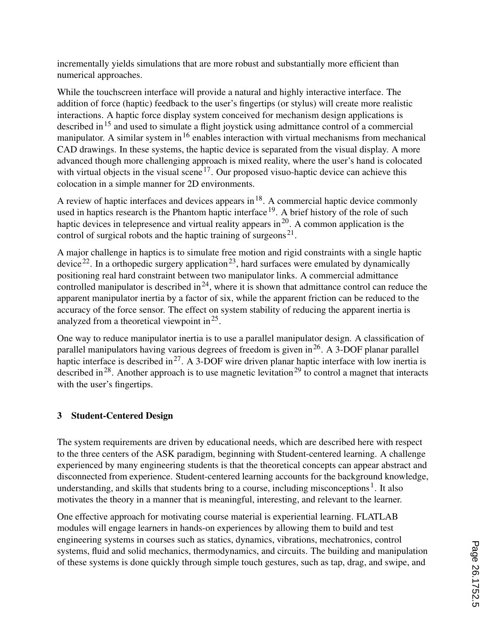incrementally yields simulations that are more robust and substantially more efficient than numerical approaches.

While the touchscreen interface will provide a natural and highly interactive interface. The addition of force (haptic) feedback to the user's fingertips (or stylus) will create more realistic interactions. A haptic force display system conceived for mechanism design applications is described in<sup>15</sup> and used to simulate a flight joystick using admittance control of a commercial manipulator. A similar system in  $16$  enables interaction with virtual mechanisms from mechanical CAD drawings. In these systems, the haptic device is separated from the visual display. A more advanced though more challenging approach is mixed reality, where the user's hand is colocated with virtual objects in the visual scene<sup>17</sup>. Our proposed visuo-haptic device can achieve this colocation in a simple manner for 2D environments.

A review of haptic interfaces and devices appears in  $18$ . A commercial haptic device commonly used in haptics research is the Phantom haptic interface  $19$ . A brief history of the role of such haptic devices in telepresence and virtual reality appears in  $2<sup>0</sup>$ . A common application is the control of surgical robots and the haptic training of surgeons<sup>21</sup>.

A major challenge in haptics is to simulate free motion and rigid constraints with a single haptic device<sup>22</sup>. In a orthopedic surgery application<sup>23</sup>, hard surfaces were emulated by dynamically positioning real hard constraint between two manipulator links. A commercial admittance controlled manipulator is described in  $24$ , where it is shown that admittance control can reduce the apparent manipulator inertia by a factor of six, while the apparent friction can be reduced to the accuracy of the force sensor. The effect on system stability of reducing the apparent inertia is analyzed from a theoretical viewpoint in  $2^5$ .

One way to reduce manipulator inertia is to use a parallel manipulator design. A classification of parallel manipulators having various degrees of freedom is given in<sup>26</sup>. A 3-DOF planar parallel haptic interface is described in<sup>27</sup>. A 3-DOF wire driven planar haptic interface with low inertia is described in<sup>28</sup>. Another approach is to use magnetic levitation<sup>29</sup> to control a magnet that interacts with the user's fingertips.

# 3 Student-Centered Design

The system requirements are driven by educational needs, which are described here with respect to the three centers of the ASK paradigm, beginning with Student-centered learning. A challenge experienced by many engineering students is that the theoretical concepts can appear abstract and disconnected from experience. Student-centered learning accounts for the background knowledge, understanding, and skills that students bring to a course, including misconceptions<sup>1</sup>. It also motivates the theory in a manner that is meaningful, interesting, and relevant to the learner.

One effective approach for motivating course material is experiential learning. FLATLAB modules will engage learners in hands-on experiences by allowing them to build and test engineering systems in courses such as statics, dynamics, vibrations, mechatronics, control systems, fluid and solid mechanics, thermodynamics, and circuits. The building and manipulation of these systems is done quickly through simple touch gestures, such as tap, drag, and swipe, and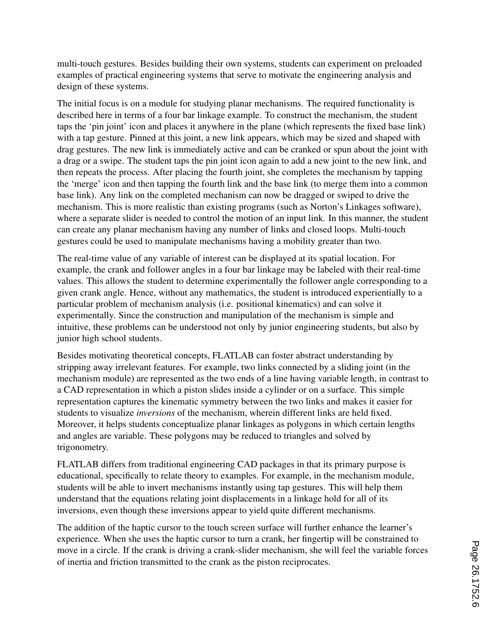multi-touch gestures. Besides building their own systems, students can experiment on preloaded examples of practical engineering systems that serve to motivate the engineering analysis and design of these systems.

The initial focus is on a module for studying planar mechanisms. The required functionality is described here in terms of a four bar linkage example. To construct the mechanism, the student taps the 'pin joint' icon and places it anywhere in the plane (which represents the fixed base link) with a tap gesture. Pinned at this joint, a new link appears, which may be sized and shaped with drag gestures. The new link is immediately active and can be cranked or spun about the joint with a drag or a swipe. The student taps the pin joint icon again to add a new joint to the new link, and then repeats the process. After placing the fourth joint, she completes the mechanism by tapping the 'merge' icon and then tapping the fourth link and the base link (to merge them into a common base link). Any link on the completed mechanism can now be dragged or swiped to drive the mechanism. This is more realistic than existing programs (such as Norton's Linkages software), where a separate slider is needed to control the motion of an input link. In this manner, the student can create any planar mechanism having any number of links and closed loops. Multi-touch gestures could be used to manipulate mechanisms having a mobility greater than two.

The real-time value of any variable of interest can be displayed at its spatial location. For example, the crank and follower angles in a four bar linkage may be labeled with their real-time values. This allows the student to determine experimentally the follower angle corresponding to a given crank angle. Hence, without any mathematics, the student is introduced experientially to a particular problem of mechanism analysis (i.e. positional kinematics) and can solve it experimentally. Since the construction and manipulation of the mechanism is simple and intuitive, these problems can be understood not only by junior engineering students, but also by junior high school students.

Besides motivating theoretical concepts, FLATLAB can foster abstract understanding by stripping away irrelevant features. For example, two links connected by a sliding joint (in the mechanism module) are represented as the two ends of a line having variable length, in contrast to a CAD representation in which a piston slides inside a cylinder or on a surface. This simple representation captures the kinematic symmetry between the two links and makes it easier for students to visualize *inversions* of the mechanism, wherein different links are held fixed. Moreover, it helps students conceptualize planar linkages as polygons in which certain lengths and angles are variable. These polygons may be reduced to triangles and solved by trigonometry.

FLATLAB differs from traditional engineering CAD packages in that its primary purpose is educational, specifically to relate theory to examples. For example, in the mechanism module, students will be able to invert mechanisms instantly using tap gestures. This will help them understand that the equations relating joint displacements in a linkage hold for all of its inversions, even though these inversions appear to yield quite different mechanisms.

The addition of the haptic cursor to the touch screen surface will further enhance the learner's experience. When she uses the haptic cursor to turn a crank, her fingertip will be constrained to move in a circle. If the crank is driving a crank-slider mechanism, she will feel the variable forces of inertia and friction transmitted to the crank as the piston reciprocates.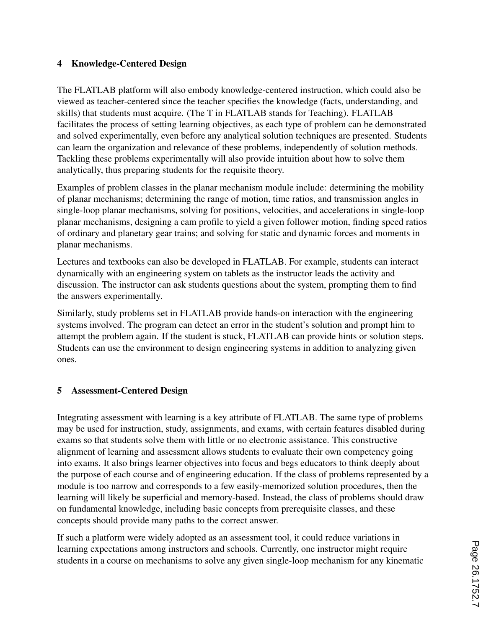# 4 Knowledge-Centered Design

The FLATLAB platform will also embody knowledge-centered instruction, which could also be viewed as teacher-centered since the teacher specifies the knowledge (facts, understanding, and skills) that students must acquire. (The T in FLATLAB stands for Teaching). FLATLAB facilitates the process of setting learning objectives, as each type of problem can be demonstrated and solved experimentally, even before any analytical solution techniques are presented. Students can learn the organization and relevance of these problems, independently of solution methods. Tackling these problems experimentally will also provide intuition about how to solve them analytically, thus preparing students for the requisite theory.

Examples of problem classes in the planar mechanism module include: determining the mobility of planar mechanisms; determining the range of motion, time ratios, and transmission angles in single-loop planar mechanisms, solving for positions, velocities, and accelerations in single-loop planar mechanisms, designing a cam profile to yield a given follower motion, finding speed ratios of ordinary and planetary gear trains; and solving for static and dynamic forces and moments in planar mechanisms.

Lectures and textbooks can also be developed in FLATLAB. For example, students can interact dynamically with an engineering system on tablets as the instructor leads the activity and discussion. The instructor can ask students questions about the system, prompting them to find the answers experimentally.

Similarly, study problems set in FLATLAB provide hands-on interaction with the engineering systems involved. The program can detect an error in the student's solution and prompt him to attempt the problem again. If the student is stuck, FLATLAB can provide hints or solution steps. Students can use the environment to design engineering systems in addition to analyzing given ones.

### 5 Assessment-Centered Design

Integrating assessment with learning is a key attribute of FLATLAB. The same type of problems may be used for instruction, study, assignments, and exams, with certain features disabled during exams so that students solve them with little or no electronic assistance. This constructive alignment of learning and assessment allows students to evaluate their own competency going into exams. It also brings learner objectives into focus and begs educators to think deeply about the purpose of each course and of engineering education. If the class of problems represented by a module is too narrow and corresponds to a few easily-memorized solution procedures, then the learning will likely be superficial and memory-based. Instead, the class of problems should draw on fundamental knowledge, including basic concepts from prerequisite classes, and these concepts should provide many paths to the correct answer.

If such a platform were widely adopted as an assessment tool, it could reduce variations in learning expectations among instructors and schools. Currently, one instructor might require students in a course on mechanisms to solve any given single-loop mechanism for any kinematic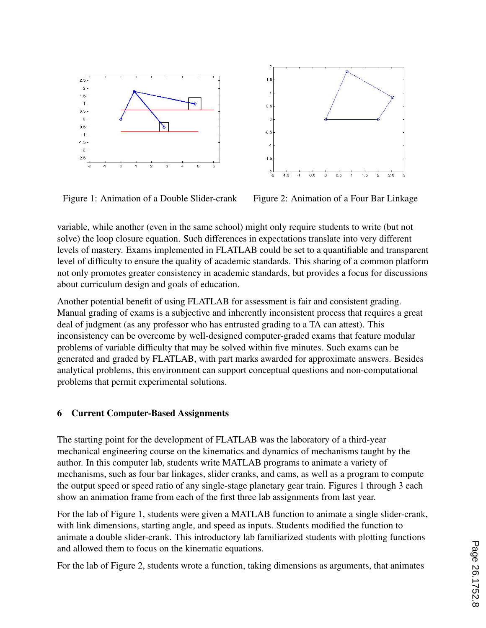



Figure 1: Animation of a Double Slider-crank Figure 2: Animation of a Four Bar Linkage

variable, while another (even in the same school) might only require students to write (but not solve) the loop closure equation. Such differences in expectations translate into very different levels of mastery. Exams implemented in FLATLAB could be set to a quantifiable and transparent level of difficulty to ensure the quality of academic standards. This sharing of a common platform not only promotes greater consistency in academic standards, but provides a focus for discussions about curriculum design and goals of education.

Another potential benefit of using FLATLAB for assessment is fair and consistent grading. Manual grading of exams is a subjective and inherently inconsistent process that requires a great deal of judgment (as any professor who has entrusted grading to a TA can attest). This inconsistency can be overcome by well-designed computer-graded exams that feature modular problems of variable difficulty that may be solved within five minutes. Such exams can be generated and graded by FLATLAB, with part marks awarded for approximate answers. Besides analytical problems, this environment can support conceptual questions and non-computational problems that permit experimental solutions.

#### 6 Current Computer-Based Assignments

The starting point for the development of FLATLAB was the laboratory of a third-year mechanical engineering course on the kinematics and dynamics of mechanisms taught by the author. In this computer lab, students write MATLAB programs to animate a variety of mechanisms, such as four bar linkages, slider cranks, and cams, as well as a program to compute the output speed or speed ratio of any single-stage planetary gear train. Figures 1 through 3 each show an animation frame from each of the first three lab assignments from last year.

For the lab of Figure 1, students were given a MATLAB function to animate a single slider-crank, with link dimensions, starting angle, and speed as inputs. Students modified the function to animate a double slider-crank. This introductory lab familiarized students with plotting functions and allowed them to focus on the kinematic equations.

For the lab of Figure 2, students wrote a function, taking dimensions as arguments, that animates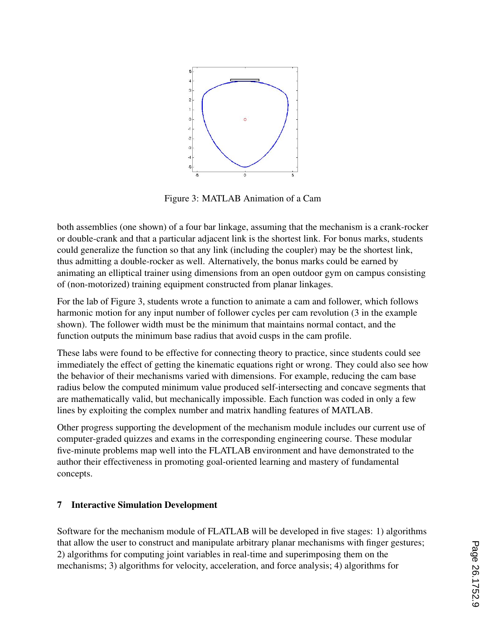

Figure 3: MATLAB Animation of a Cam

both assemblies (one shown) of a four bar linkage, assuming that the mechanism is a crank-rocker or double-crank and that a particular adjacent link is the shortest link. For bonus marks, students could generalize the function so that any link (including the coupler) may be the shortest link, thus admitting a double-rocker as well. Alternatively, the bonus marks could be earned by animating an elliptical trainer using dimensions from an open outdoor gym on campus consisting of (non-motorized) training equipment constructed from planar linkages.

For the lab of Figure 3, students wrote a function to animate a cam and follower, which follows harmonic motion for any input number of follower cycles per cam revolution (3 in the example shown). The follower width must be the minimum that maintains normal contact, and the function outputs the minimum base radius that avoid cusps in the cam profile.

These labs were found to be effective for connecting theory to practice, since students could see immediately the effect of getting the kinematic equations right or wrong. They could also see how the behavior of their mechanisms varied with dimensions. For example, reducing the cam base radius below the computed minimum value produced self-intersecting and concave segments that are mathematically valid, but mechanically impossible. Each function was coded in only a few lines by exploiting the complex number and matrix handling features of MATLAB.

Other progress supporting the development of the mechanism module includes our current use of computer-graded quizzes and exams in the corresponding engineering course. These modular five-minute problems map well into the FLATLAB environment and have demonstrated to the author their effectiveness in promoting goal-oriented learning and mastery of fundamental concepts.

### 7 Interactive Simulation Development

Software for the mechanism module of FLATLAB will be developed in five stages: 1) algorithms that allow the user to construct and manipulate arbitrary planar mechanisms with finger gestures; 2) algorithms for computing joint variables in real-time and superimposing them on the mechanisms; 3) algorithms for velocity, acceleration, and force analysis; 4) algorithms for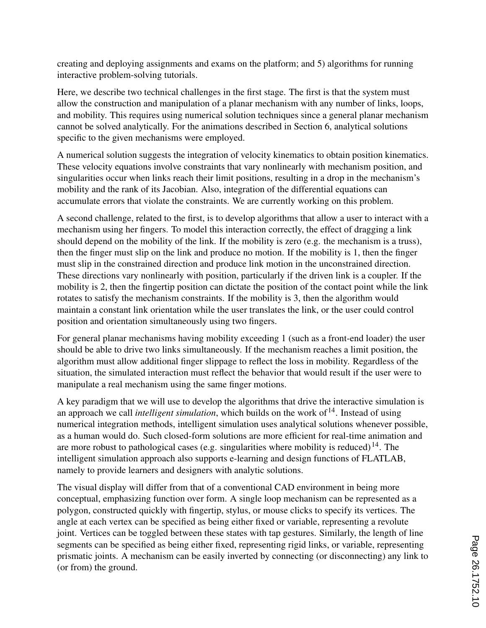creating and deploying assignments and exams on the platform; and 5) algorithms for running interactive problem-solving tutorials.

Here, we describe two technical challenges in the first stage. The first is that the system must allow the construction and manipulation of a planar mechanism with any number of links, loops, and mobility. This requires using numerical solution techniques since a general planar mechanism cannot be solved analytically. For the animations described in Section 6, analytical solutions specific to the given mechanisms were employed.

A numerical solution suggests the integration of velocity kinematics to obtain position kinematics. These velocity equations involve constraints that vary nonlinearly with mechanism position, and singularities occur when links reach their limit positions, resulting in a drop in the mechanism's mobility and the rank of its Jacobian. Also, integration of the differential equations can accumulate errors that violate the constraints. We are currently working on this problem.

A second challenge, related to the first, is to develop algorithms that allow a user to interact with a mechanism using her fingers. To model this interaction correctly, the effect of dragging a link should depend on the mobility of the link. If the mobility is zero (e.g. the mechanism is a truss), then the finger must slip on the link and produce no motion. If the mobility is 1, then the finger must slip in the constrained direction and produce link motion in the unconstrained direction. These directions vary nonlinearly with position, particularly if the driven link is a coupler. If the mobility is 2, then the fingertip position can dictate the position of the contact point while the link rotates to satisfy the mechanism constraints. If the mobility is 3, then the algorithm would maintain a constant link orientation while the user translates the link, or the user could control position and orientation simultaneously using two fingers.

For general planar mechanisms having mobility exceeding 1 (such as a front-end loader) the user should be able to drive two links simultaneously. If the mechanism reaches a limit position, the algorithm must allow additional finger slippage to reflect the loss in mobility. Regardless of the situation, the simulated interaction must reflect the behavior that would result if the user were to manipulate a real mechanism using the same finger motions.

A key paradigm that we will use to develop the algorithms that drive the interactive simulation is an approach we call *intelligent simulation*, which builds on the work of <sup>14</sup>. Instead of using numerical integration methods, intelligent simulation uses analytical solutions whenever possible, as a human would do. Such closed-form solutions are more efficient for real-time animation and are more robust to pathological cases (e.g. singularities where mobility is reduced)<sup>14</sup>. The intelligent simulation approach also supports e-learning and design functions of FLATLAB, namely to provide learners and designers with analytic solutions.

The visual display will differ from that of a conventional CAD environment in being more conceptual, emphasizing function over form. A single loop mechanism can be represented as a polygon, constructed quickly with fingertip, stylus, or mouse clicks to specify its vertices. The angle at each vertex can be specified as being either fixed or variable, representing a revolute joint. Vertices can be toggled between these states with tap gestures. Similarly, the length of line segments can be specified as being either fixed, representing rigid links, or variable, representing prismatic joints. A mechanism can be easily inverted by connecting (or disconnecting) any link to (or from) the ground.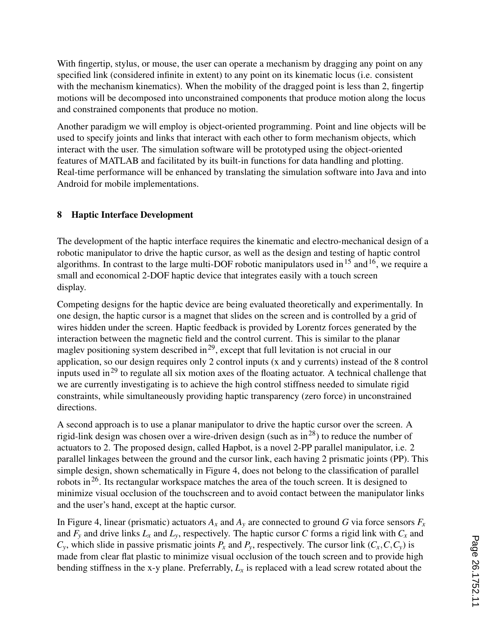With fingertip, stylus, or mouse, the user can operate a mechanism by dragging any point on any specified link (considered infinite in extent) to any point on its kinematic locus (i.e. consistent with the mechanism kinematics). When the mobility of the dragged point is less than 2, fingertip motions will be decomposed into unconstrained components that produce motion along the locus and constrained components that produce no motion.

Another paradigm we will employ is object-oriented programming. Point and line objects will be used to specify joints and links that interact with each other to form mechanism objects, which interact with the user. The simulation software will be prototyped using the object-oriented features of MATLAB and facilitated by its built-in functions for data handling and plotting. Real-time performance will be enhanced by translating the simulation software into Java and into Android for mobile implementations.

# 8 Haptic Interface Development

The development of the haptic interface requires the kinematic and electro-mechanical design of a robotic manipulator to drive the haptic cursor, as well as the design and testing of haptic control algorithms. In contrast to the large multi-DOF robotic manipulators used in  $15$  and  $16$ , we require a small and economical 2-DOF haptic device that integrates easily with a touch screen display.

Competing designs for the haptic device are being evaluated theoretically and experimentally. In one design, the haptic cursor is a magnet that slides on the screen and is controlled by a grid of wires hidden under the screen. Haptic feedback is provided by Lorentz forces generated by the interaction between the magnetic field and the control current. This is similar to the planar maglev positioning system described in<sup>29</sup>, except that full levitation is not crucial in our application, so our design requires only 2 control inputs (x and y currents) instead of the 8 control inputs used in<sup>29</sup> to regulate all six motion axes of the floating actuator. A technical challenge that we are currently investigating is to achieve the high control stiffness needed to simulate rigid constraints, while simultaneously providing haptic transparency (zero force) in unconstrained directions.

A second approach is to use a planar manipulator to drive the haptic cursor over the screen. A rigid-link design was chosen over a wire-driven design (such as  $in^{28}$ ) to reduce the number of actuators to 2. The proposed design, called Hapbot, is a novel 2-PP parallel manipulator, i.e. 2 parallel linkages between the ground and the cursor link, each having 2 prismatic joints (PP). This simple design, shown schematically in Figure 4, does not belong to the classification of parallel robots in26. Its rectangular workspace matches the area of the touch screen. It is designed to minimize visual occlusion of the touchscreen and to avoid contact between the manipulator links and the user's hand, except at the haptic cursor.

In Figure 4, linear (prismatic) actuators  $A_x$  and  $A_y$  are connected to ground *G* via force sensors  $F_x$ and  $F_y$  and drive links  $L_x$  and  $L_y$ , respectively. The haptic cursor *C* forms a rigid link with  $C_x$  and  $C_v$ , which slide in passive prismatic joints  $P_x$  and  $P_v$ , respectively. The cursor link  $(C_x, C, C_v)$  is made from clear flat plastic to minimize visual occlusion of the touch screen and to provide high bending stiffness in the x-y plane. Preferrably,  $L<sub>x</sub>$  is replaced with a lead screw rotated about the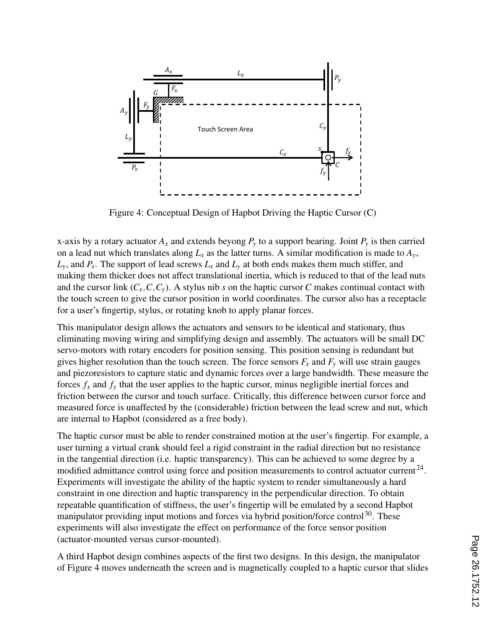

Figure 4: Conceptual Design of Hapbot Driving the Haptic Cursor (C)

x-axis by a rotary actuator  $A_x$  and extends beyong  $P_y$  to a support bearing. Joint  $P_y$  is then carried on a lead nut which translates along  $L_x$  as the latter turns. A similar modification is made to  $A_y$ ,  $L_y$ , and  $P_x$ . The support of lead screws  $L_x$  and  $L_y$  at both ends makes them much stiffer, and making them thicker does not affect translational inertia, which is reduced to that of the lead nuts and the cursor link  $(C_x, C, C_y)$ . A stylus nib *s* on the haptic cursor *C* makes continual contact with the touch screen to give the cursor position in world coordinates. The cursor also has a receptacle for a user's fingertip, stylus, or rotating knob to apply planar forces.

This manipulator design allows the actuators and sensors to be identical and stationary, thus eliminating moving wiring and simplifying design and assembly. The actuators will be small DC servo-motors with rotary encoders for position sensing. This position sensing is redundant but gives higher resolution than the touch screen. The force sensors  $F_x$  and  $F_y$  will use strain gauges and piezoresistors to capture static and dynamic forces over a large bandwidth. These measure the forces  $f_x$  and  $f_y$  that the user applies to the haptic cursor, minus negligible inertial forces and friction between the cursor and touch surface. Critically, this difference between cursor force and measured force is unaffected by the (considerable) friction between the lead screw and nut, which are internal to Hapbot (considered as a free body).

The haptic cursor must be able to render constrained motion at the user's fingertip. For example, a user turning a virtual crank should feel a rigid constraint in the radial direction but no resistance in the tangential direction (i.e. haptic transparency). This can be achieved to some degree by a modified admittance control using force and position measurements to control actuator current<sup>24</sup>. Experiments will investigate the ability of the haptic system to render simultaneously a hard constraint in one direction and haptic transparency in the perpendicular direction. To obtain repeatable quantification of stiffness, the user's fingertip will be emulated by a second Hapbot manipulator providing input motions and forces via hybrid position/force control<sup>30</sup>. These experiments will also investigate the effect on performance of the force sensor position (actuator-mounted versus cursor-mounted).

A third Hapbot design combines aspects of the first two designs. In this design, the manipulator of Figure 4 moves underneath the screen and is magnetically coupled to a haptic cursor that slides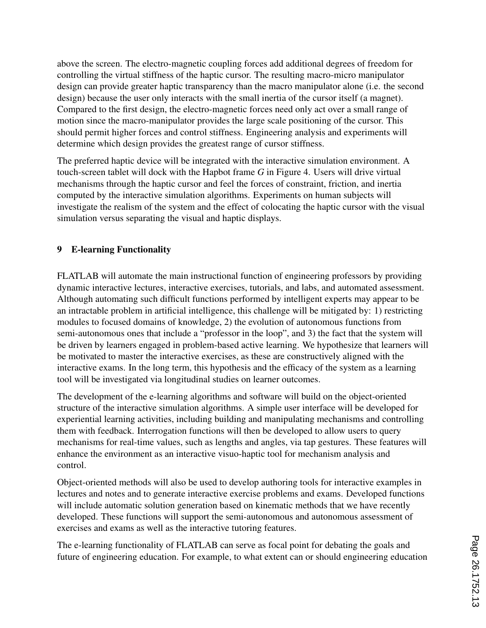above the screen. The electro-magnetic coupling forces add additional degrees of freedom for controlling the virtual stiffness of the haptic cursor. The resulting macro-micro manipulator design can provide greater haptic transparency than the macro manipulator alone (i.e. the second design) because the user only interacts with the small inertia of the cursor itself (a magnet). Compared to the first design, the electro-magnetic forces need only act over a small range of motion since the macro-manipulator provides the large scale positioning of the cursor. This should permit higher forces and control stiffness. Engineering analysis and experiments will determine which design provides the greatest range of cursor stiffness.

The preferred haptic device will be integrated with the interactive simulation environment. A touch-screen tablet will dock with the Hapbot frame *G* in Figure 4. Users will drive virtual mechanisms through the haptic cursor and feel the forces of constraint, friction, and inertia computed by the interactive simulation algorithms. Experiments on human subjects will investigate the realism of the system and the effect of colocating the haptic cursor with the visual simulation versus separating the visual and haptic displays.

### 9 E-learning Functionality

FLATLAB will automate the main instructional function of engineering professors by providing dynamic interactive lectures, interactive exercises, tutorials, and labs, and automated assessment. Although automating such difficult functions performed by intelligent experts may appear to be an intractable problem in artificial intelligence, this challenge will be mitigated by: 1) restricting modules to focused domains of knowledge, 2) the evolution of autonomous functions from semi-autonomous ones that include a "professor in the loop", and 3) the fact that the system will be driven by learners engaged in problem-based active learning. We hypothesize that learners will be motivated to master the interactive exercises, as these are constructively aligned with the interactive exams. In the long term, this hypothesis and the efficacy of the system as a learning tool will be investigated via longitudinal studies on learner outcomes.

The development of the e-learning algorithms and software will build on the object-oriented structure of the interactive simulation algorithms. A simple user interface will be developed for experiential learning activities, including building and manipulating mechanisms and controlling them with feedback. Interrogation functions will then be developed to allow users to query mechanisms for real-time values, such as lengths and angles, via tap gestures. These features will enhance the environment as an interactive visuo-haptic tool for mechanism analysis and control.

Object-oriented methods will also be used to develop authoring tools for interactive examples in lectures and notes and to generate interactive exercise problems and exams. Developed functions will include automatic solution generation based on kinematic methods that we have recently developed. These functions will support the semi-autonomous and autonomous assessment of exercises and exams as well as the interactive tutoring features.

The e-learning functionality of FLATLAB can serve as focal point for debating the goals and future of engineering education. For example, to what extent can or should engineering education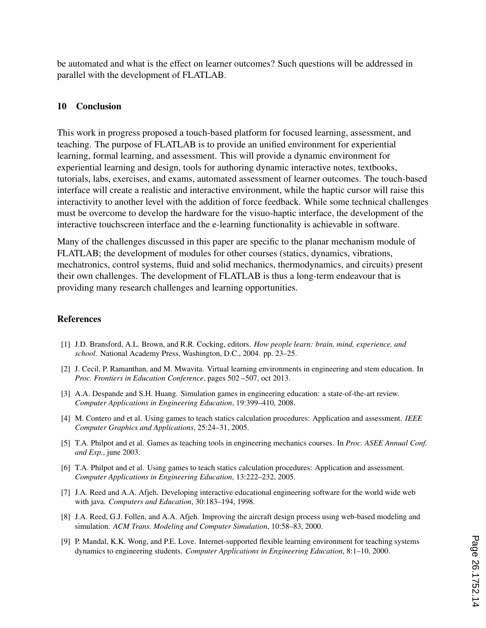be automated and what is the effect on learner outcomes? Such questions will be addressed in parallel with the development of FLATLAB.

#### 10 Conclusion

This work in progress proposed a touch-based platform for focused learning, assessment, and teaching. The purpose of FLATLAB is to provide an unified environment for experiential learning, formal learning, and assessment. This will provide a dynamic environment for experiential learning and design, tools for authoring dynamic interactive notes, textbooks, tutorials, labs, exercises, and exams, automated assessment of learner outcomes. The touch-based interface will create a realistic and interactive environment, while the haptic cursor will raise this interactivity to another level with the addition of force feedback. While some technical challenges must be overcome to develop the hardware for the visuo-haptic interface, the development of the interactive touchscreen interface and the e-learning functionality is achievable in software.

Many of the challenges discussed in this paper are specific to the planar mechanism module of FLATLAB; the development of modules for other courses (statics, dynamics, vibrations, mechatronics, control systems, fluid and solid mechanics, thermodynamics, and circuits) present their own challenges. The development of FLATLAB is thus a long-term endeavour that is providing many research challenges and learning opportunities.

#### References

- [1] J.D. Bransford, A.L. Brown, and R.R. Cocking, editors. *How people learn: brain, mind, experience, and school*. National Academy Press, Washington, D.C., 2004. pp. 23–25.
- [2] J. Cecil, P. Ramanthan, and M. Mwavita. Virtual learning environments in engineering and stem education. In *Proc. Frontiers in Education Conference*, pages 502 –507, oct 2013.
- [3] A.A. Despande and S.H. Huang. Simulation games in engineering education: a state-of-the-art review. *Computer Applications in Engineering Education*, 19:399–410, 2008.
- [4] M. Contero and et al. Using games to teach statics calculation procedures: Application and assessment. *IEEE Computer Graphics and Applications*, 25:24–31, 2005.
- [5] T.A. Philpot and et al. Games as teaching tools in engineering mechanics courses. In *Proc. ASEE Annual Conf. and Exp.*, june 2003.
- [6] T.A. Philpot and et al. Using games to teach statics calculation procedures: Application and assessment. *Computer Applications in Engineering Education*, 13:222–232, 2005.
- [7] J.A. Reed and A.A. Afjeh. Developing interactive educational engineering software for the world wide web with java. *Computers and Education*, 30:183–194, 1998.
- [8] J.A. Reed, G.J. Follen, and A.A. Afjeh. Improving the aircraft design process using web-based modeling and simulation. *ACM Trans. Modeling and Computer Simulation*, 10:58–83, 2000.
- [9] P. Mandal, K.K. Wong, and P.E. Love. Internet-supported flexible learning environment for teaching systems dynamics to engineering students. *Computer Applications in Engineering Education*, 8:1–10, 2000.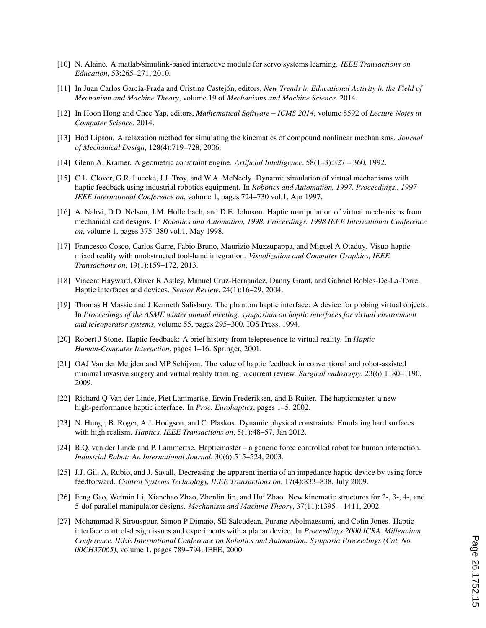- [10] N. Alaine. A matlab/simulink-based interactive module for servo systems learning. *IEEE Transactions on Education*, 53:265–271, 2010.
- [11] In Juan Carlos García-Prada and Cristina Castejón, editors, *New Trends in Educational Activity in the Field of Mechanism and Machine Theory*, volume 19 of *Mechanisms and Machine Science*. 2014.
- [12] In Hoon Hong and Chee Yap, editors, *Mathematical Software ICMS 2014*, volume 8592 of *Lecture Notes in Computer Science*. 2014.
- [13] Hod Lipson. A relaxation method for simulating the kinematics of compound nonlinear mechanisms. *Journal of Mechanical Design*, 128(4):719–728, 2006.
- [14] Glenn A. Kramer. A geometric constraint engine. *Artificial Intelligence*, 58(1–3):327 360, 1992.
- [15] C.L. Clover, G.R. Luecke, J.J. Troy, and W.A. McNeely. Dynamic simulation of virtual mechanisms with haptic feedback using industrial robotics equipment. In *Robotics and Automation, 1997. Proceedings., 1997 IEEE International Conference on*, volume 1, pages 724–730 vol.1, Apr 1997.
- [16] A. Nahvi, D.D. Nelson, J.M. Hollerbach, and D.E. Johnson. Haptic manipulation of virtual mechanisms from mechanical cad designs. In *Robotics and Automation, 1998. Proceedings. 1998 IEEE International Conference on*, volume 1, pages 375–380 vol.1, May 1998.
- [17] Francesco Cosco, Carlos Garre, Fabio Bruno, Maurizio Muzzupappa, and Miguel A Otaduy. Visuo-haptic mixed reality with unobstructed tool-hand integration. *Visualization and Computer Graphics, IEEE Transactions on*, 19(1):159–172, 2013.
- [18] Vincent Hayward, Oliver R Astley, Manuel Cruz-Hernandez, Danny Grant, and Gabriel Robles-De-La-Torre. Haptic interfaces and devices. *Sensor Review*, 24(1):16–29, 2004.
- [19] Thomas H Massie and J Kenneth Salisbury. The phantom haptic interface: A device for probing virtual objects. In *Proceedings of the ASME winter annual meeting, symposium on haptic interfaces for virtual environment and teleoperator systems*, volume 55, pages 295–300. IOS Press, 1994.
- [20] Robert J Stone. Haptic feedback: A brief history from telepresence to virtual reality. In *Haptic Human-Computer Interaction*, pages 1–16. Springer, 2001.
- [21] OAJ Van der Meijden and MP Schijven. The value of haptic feedback in conventional and robot-assisted minimal invasive surgery and virtual reality training: a current review. *Surgical endoscopy*, 23(6):1180–1190, 2009.
- [22] Richard Q Van der Linde, Piet Lammertse, Erwin Frederiksen, and B Ruiter. The hapticmaster, a new high-performance haptic interface. In *Proc. Eurohaptics*, pages 1–5, 2002.
- [23] N. Hungr, B. Roger, A.J. Hodgson, and C. Plaskos. Dynamic physical constraints: Emulating hard surfaces with high realism. *Haptics, IEEE Transactions on*, 5(1):48–57, Jan 2012.
- [24] R.Q. van der Linde and P. Lammertse. Hapticmaster a generic force controlled robot for human interaction. *Industrial Robot: An International Journal*, 30(6):515–524, 2003.
- [25] J.J. Gil, A. Rubio, and J. Savall. Decreasing the apparent inertia of an impedance haptic device by using force feedforward. *Control Systems Technology, IEEE Transactions on*, 17(4):833–838, July 2009.
- [26] Feng Gao, Weimin Li, Xianchao Zhao, Zhenlin Jin, and Hui Zhao. New kinematic structures for 2-, 3-, 4-, and 5-dof parallel manipulator designs. *Mechanism and Machine Theory*, 37(11):1395 – 1411, 2002.
- [27] Mohammad R Sirouspour, Simon P Dimaio, SE Salcudean, Purang Abolmaesumi, and Colin Jones. Haptic interface control-design issues and experiments with a planar device. In *Proceedings 2000 ICRA. Millennium Conference. IEEE International Conference on Robotics and Automation. Symposia Proceedings (Cat. No. 00CH37065)*, volume 1, pages 789–794. IEEE, 2000.